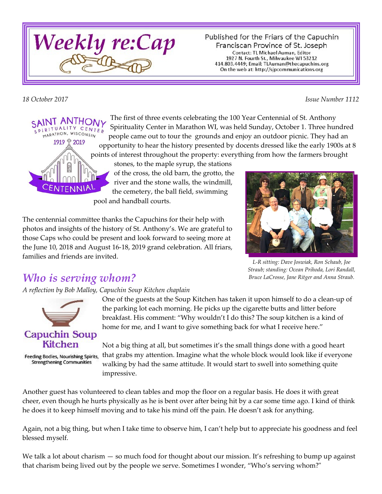

Published for the Friars of the Capuchin Franciscan Province of St. Joseph Contact: TL Michael Auman, Editor 1927 N. Fourth St., Milwaukee WI 53212 414.803.4449; Email: TLAuman@thecapuchins.org On the web at: http://sjpcommunications.org

*18 October 2017 Issue Number 1112*



The first of three events celebrating the 100 Year Centennial of St. Anthony Spirituality Center in Marathon WI, was held Sunday, October 1. Three hundred people came out to tour the grounds and enjoy an outdoor picnic. They had an opportunity to hear the history presented by docents dressed like the early 1900s at 8 points of interest throughout the property: everything from how the farmers brought

stones, to the maple syrup, the stations of the cross, the old barn, the grotto, the river and the stone walls, the windmill, the cemetery, the ball field, swimming pool and handball courts.

The centennial committee thanks the Capuchins for their help with photos and insights of the history of St. Anthony's. We are grateful to those Caps who could be present and look forward to seeing more at the June 10, 2018 and August 16-18, 2019 grand celebration. All friars, families and friends are invited.



*L-R sitting: Dave Joswiak, Ron Schaub, Joe Straub; standing: Ocean Prihoda, Lori Randall, Bruce LaCrosse, Jane Ritger and Anna Straub.*

## *Who is serving whom?*

*A reflection by Bob Malloy, Capuchin Soup Kitchen chaplain*



Feeding Bodies, Nourishing Spirits, **Strengthening Communities** 

One of the guests at the Soup Kitchen has taken it upon himself to do a clean-up of the parking lot each morning. He picks up the cigarette butts and litter before breakfast. His comment: "Why wouldn't I do this? The soup kitchen is a kind of home for me, and I want to give something back for what I receive here."

Not a big thing at all, but sometimes it's the small things done with a good heart that grabs my attention. Imagine what the whole block would look like if everyone walking by had the same attitude. It would start to swell into something quite impressive.

Another guest has volunteered to clean tables and mop the floor on a regular basis. He does it with great cheer, even though he hurts physically as he is bent over after being hit by a car some time ago. I kind of think he does it to keep himself moving and to take his mind off the pain. He doesn't ask for anything.

Again, not a big thing, but when I take time to observe him, I can't help but to appreciate his goodness and feel blessed myself.

We talk a lot about charism — so much food for thought about our mission. It's refreshing to bump up against that charism being lived out by the people we serve. Sometimes I wonder, "Who's serving whom?"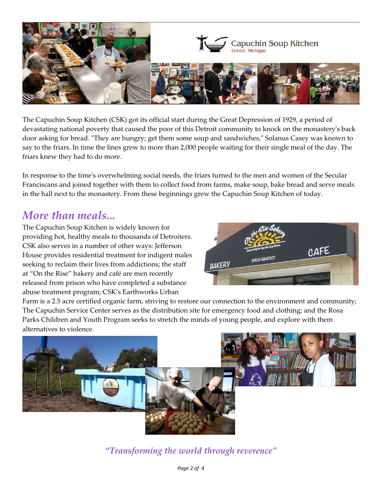

The Capuchin Soup Kitchen (CSK) got its official start during the Great Depression of 1929, a period of devastating national poverty that caused the poor of this Detroit community to knock on the monastery's back door asking for bread. "They are hungry; get them some soup and sandwiches," Solanus Casey was known to say to the friars. In time the lines grew to more than 2,000 people waiting for their single meal of the day. The friars knew they had to do more.

In response to the time's overwhelming social needs, the friars turned to the men and women of the Secular Franciscans and joined together with them to collect food from farms, make soup, bake bread and serve meals in the hall next to the monastery. From these beginnings grew the Capuchin Soup Kitchen of today.

#### *More than meals...*

The Capuchin Soup Kitchen is widely known for providing hot, healthy meals to thousands of Detroiters. CSK also serves in a number of other ways: Jefferson House provides residential treatment for indigent males seeking to reclaim their lives from addictions; the staff at "On the Rise" bakery and café are men recently released from prison who have completed a substance abuse treatment program; CSK's Earthworks Urban



Farm is a 2.5 acre certified organic farm, striving to restore our connection to the environment and community; The Capuchin Service Center serves as the distribution site for emergency food and clothing; and the Rosa Parks Children and Youth Program seeks to stretch the minds of young people, and explore with them alternatives to violence.



*"Transforming the world through reverence"*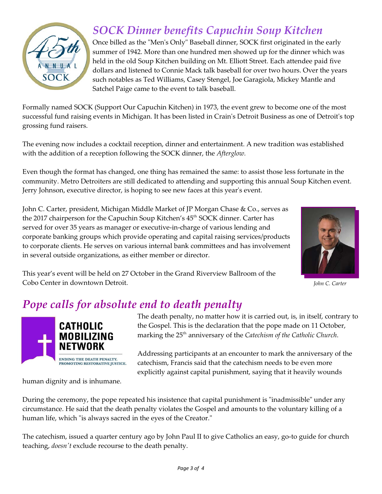

# *SOCK Dinner benefits Capuchin Soup Kitchen*

Once billed as the "Men's Only" Baseball dinner, SOCK first originated in the early summer of 1942. More than one hundred men showed up for the dinner which was held in the old Soup Kitchen building on Mt. Elliott Street. Each attendee paid five dollars and listened to Connie Mack talk baseball for over two hours. Over the years such notables as Ted Williams, Casey Stengel, Joe Garagiola, Mickey Mantle and Satchel Paige came to the event to talk baseball.

Formally named SOCK (Support Our Capuchin Kitchen) in 1973, the event grew to become one of the most successful fund raising events in Michigan. It has been listed in Crain's Detroit Business as one of Detroit's top grossing fund raisers.

The evening now includes a cocktail reception, dinner and entertainment. A new tradition was established with the addition of a reception following the SOCK dinner, the *Afterglow.*

Even though the format has changed, one thing has remained the same: to assist those less fortunate in the community. Metro Detroiters are still dedicated to attending and supporting this annual Soup Kitchen event. Jerry Johnson, executive director, is hoping to see new faces at this year's event.

John C. Carter, president, Michigan Middle Market of JP Morgan Chase & Co., serves as the 2017 chairperson for the Capuchin Soup Kitchen's 45<sup>th</sup> SOCK dinner. Carter has served for over 35 years as manager or executive-in-charge of various lending and corporate banking groups which provide operating and capital raising services/products to corporate clients. He serves on various internal bank committees and has involvement in several outside organizations, as either member or director.



*John C. Carter*

This year's event will be held on 27 October in the Grand Riverview Ballroom of the Cobo Center in downtown Detroit.

## *Pope calls for absolute end to death penalty*



human dignity and is inhumane.

The death penalty, no matter how it is carried out, is, in itself, contrary to the Gospel. This is the declaration that the pope made on 11 October, marking the 25<sup>th</sup> anniversary of the *Catechism of the Catholic Church*.

Addressing participants at an encounter to mark the anniversary of the catechism, Francis said that the catechism needs to be even more explicitly against capital punishment, saying that it heavily wounds

During the ceremony, the pope repeated his insistence that capital punishment is "inadmissible" under any circumstance. He said that the death penalty violates the Gospel and amounts to the voluntary killing of a human life, which "is always sacred in the eyes of the Creator."

The catechism, issued a quarter century ago by John Paul II to give Catholics an easy, go-to guide for church teaching, *doesn't* exclude recourse to the death penalty.